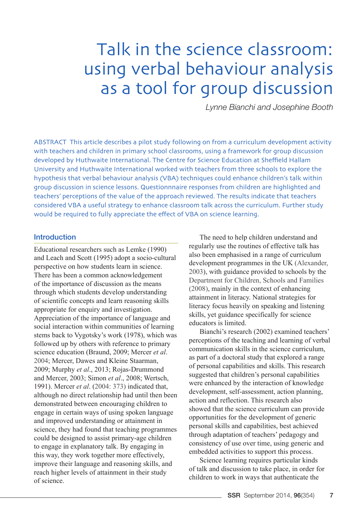# Talk in the science classroom: using verbal behaviour analysis as a tool for group discussion

*Lynne Bianchi and Josephine Booth*

ABSTRACT This article describes a pilot study following on from a curriculum development activity with teachers and children in primary school classrooms, using a framework for group discussion developed by Huthwaite International. The Centre for Science Education at Sheffield Hallam University and Huthwaite International worked with teachers from three schools to explore the hypothesis that verbal behaviour analysis (VBA) techniques could enhance children's talk within group discussion in science lessons. Questionnnaire responses from children are highlighted and teachers' perceptions of the value of the approach reviewed. The results indicate that teachers considered VBA a useful strategy to enhance classroom talk across the curriculum. Further study would be required to fully appreciate the effect of VBA on science learning.

# Introduction

Educational researchers such as Lemke (1990) and Leach and Scott (1995) adopt a socio-cultural perspective on how students learn in science. There has been a common acknowledgement of the importance of discussion as the means through which students develop understanding of scientific concepts and learn reasoning skills appropriate for enquiry and investigation. Appreciation of the importance of language and social interaction within communities of learning stems back to Vygotsky's work (1978), which was followed up by others with reference to primary science education (Braund, 2009; Mercer *et al*. [2004](https://thinkingtogether.educ.cam.ac.uk/publications/journals/Mercer_Dawes_WegerifandSams2004.pdf); Mercer, Dawes and Kleine Staarman, 2009; Murphy *et al*., 2013; Rojas-Drummond and Mercer, 2003; Simon *et al*., 2008; Wertsch, 1991). Mercer *et al*. ([2004:](https://thinkingtogether.educ.cam.ac.uk/publications/journals/Mercer_Dawes_WegerifandSams2004.pdf) 373) indicated that, although no direct relationship had until then been demonstrated between encouraging children to engage in certain ways of using spoken language and improved understanding or attainment in science, they had found that teaching programmes could be designed to assist primary-age children to engage in explanatory talk. By engaging in this way, they work together more effectively, improve their language and reasoning skills, and reach higher levels of attainment in their study of science.

The need to help children understand and regularly use the routines of effective talk has also been emphasised in a range of curriculum development programmes in the UK ([Alexander,](http://www.lec.ie/media/docs/Talk for Learning Robin Alexander.pdf)  [2003](http://www.lec.ie/media/docs/Talk for Learning Robin Alexander.pdf)), with guidance provided to schools by the [Department for Children, Schools and Families](http://www.schoolslinks.co.uk/TalkForWriting.pdf)  [\(2008\),](http://www.schoolslinks.co.uk/TalkForWriting.pdf) mainly in the context of enhancing attainment in literacy. National strategies for literacy focus heavily on speaking and listening skills, yet guidance specifically for science educators is limited.

Bianchi's research (2002) examined teachers' perceptions of the teaching and learning of verbal communication skills in the science curriculum, as part of a doctoral study that explored a range of personal capabilities and skills. This research suggested that children's personal capabilities were enhanced by the interaction of knowledge development, self-assessment, action planning, action and reflection. This research also showed that the science curriculum can provide opportunities for the development of generic personal skills and capabilities, best achieved through adaptation of teachers' pedagogy and consistency of use over time, using generic and embedded activities to support this process.

Science learning requires particular kinds of talk and discussion to take place, in order for children to work in ways that authenticate the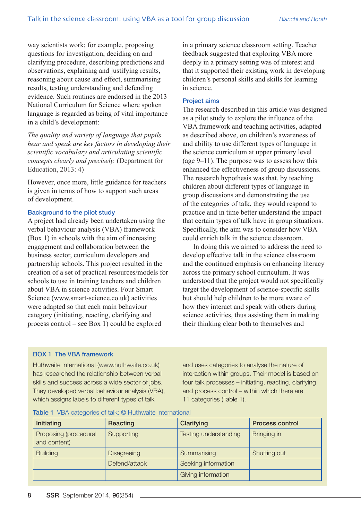way scientists work; for example, proposing questions for investigation, deciding on and clarifying procedure, describing predictions and observations, explaining and justifying results, reasoning about cause and effect, summarising results, testing understanding and defending evidence. Such routines are endorsed in the 2013 National Curriculum for Science where spoken language is regarded as being of vital importance in a child's development:

*The quality and variety of language that pupils hear and speak are key factors in developing their scientific vocabulary and articulating scientific concepts clearly and precisely.* [\(Department for](https://www.gov.uk/government/uploads/system/uploads/attachment_data/file/239132/PRIMARY_national_curriculum_-_Science.pdf)  [Education, 2013:](https://www.gov.uk/government/uploads/system/uploads/attachment_data/file/239132/PRIMARY_national_curriculum_-_Science.pdf) 4)

However, once more, little guidance for teachers is given in terms of how to support such areas of development.

## Background to the pilot study

A project had already been undertaken using the verbal behaviour analysis (VBA) framework (Box 1) in schools with the aim of increasing engagement and collaboration between the business sector, curriculum developers and partnership schools. This project resulted in the creation of a set of practical resources/models for schools to use in training teachers and children about VBA in science activities. Four Smart Science (www.smart-science.co.uk) activities were adapted so that each main behaviour category (initiating, reacting, clarifying and process control – see Box 1) could be explored

in a primary science classroom setting. Teacher feedback suggested that exploring VBA more deeply in a primary setting was of interest and that it supported their existing work in developing children's personal skills and skills for learning in science.

#### Project aims

The research described in this article was designed as a pilot study to explore the influence of the VBA framework and teaching activities, adapted as described above, on children's awareness of and ability to use different types of language in the science curriculum at upper primary level (age 9–11). The purpose was to assess how this enhanced the effectiveness of group discussions. The research hypothesis was that, by teaching children about different types of language in group discussions and demonstrating the use of the categories of talk, they would respond to practice and in time better understand the impact that certain types of talk have in group situations. Specifically, the aim was to consider how VBA could enrich talk in the science classroom.

In doing this we aimed to address the need to develop effective talk in the science classroom and the continued emphasis on enhancing literacy across the primary school curriculum. It was understood that the project would not specifically target the development of science-specific skills but should help children to be more aware of how they interact and speak with others during science activities, thus assisting them in making their thinking clear both to themselves and

## BOX 1 The VBA framework

Huthwaite International [\(www.huthwaite.co.uk\)](http://www.huthwaite.co.uk/) has researched the relationship between verbal skills and success across a wide sector of jobs. They developed verbal behaviour analysis (VBA), which assigns labels to different types of talk

and uses categories to analyse the nature of interaction within groups. Their model is based on four talk processes – initiating, reacting, clarifying and process control – within which there are 11 categories (Table 1).

| Initiating                            | Reacting           | Clarifying            | <b>Process control</b> |
|---------------------------------------|--------------------|-----------------------|------------------------|
| Proposing (procedural<br>and content) | Supporting         | Testing understanding | Bringing in            |
| <b>Building</b>                       | <b>Disagreeing</b> | Summarising           | Shutting out           |
|                                       | Defend/attack      | Seeking information   |                        |
|                                       |                    | Giving information    |                        |

#### Table 1 VBA categories of talk; © Huthwaite International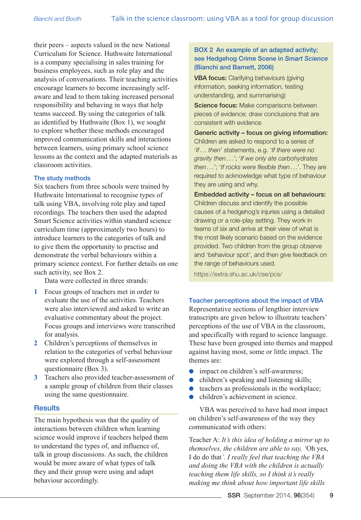their peers – aspects valued in the new National Curriculum for Science. Huthwaite International is a company specialising in sales training for business employees, such as role play and the analysis of conversations. Their teaching activities encourage learners to become increasingly selfaware and lead to them taking increased personal responsibility and behaving in ways that help teams succeed. By using the categories of talk as identified by Huthwaite (Box 1), we sought to explore whether these methods encouraged improved communication skills and interactions between learners, using primary school science lessons as the context and the adapted materials as classroom activities.

## The study methods

Six teachers from three schools were trained by Huthwaite International to recognise types of talk using VBA, involving role play and taped recordings. The teachers then used the adapted Smart Science activities within standard science curriculum time (approximately two hours) to introduce learners to the categories of talk and to give them the opportunity to practise and demonstrate the verbal behaviours within a primary science context. For further details on one such activity, see Box 2.

Data were collected in three strands:

- **1** Focus groups of teachers met in order to evaluate the use of the activities. Teachers were also interviewed and asked to write an evaluative commentary about the project. Focus groups and interviews were transcribed for analysis.
- **2** Children's perceptions of themselves in relation to the categories of verbal behaviour were explored through a self-assessment questionnaire (Box 3).
- **3** Teachers also provided teacher-assessment of a sample group of children from their classes using the same questionnaire.

# **Results**

The main hypothesis was that the quality of interactions between children when learning science would improve if teachers helped them to understand the types of, and influence of, talk in group discussions. As such, the children would be more aware of what types of talk they and their group were using and adapt behaviour accordingly.

# BOX 2 An example of an adapted activity; see Hedgehog Crime Scene in *Smart Science* (Bianchi and Barnett, 2006)

VBA focus: Clarifying behaviours (giving information, seeking information, testing understanding, and summarising)

Science focus: Make comparisons between pieces of evidence; draw conclusions that are consistent with evidence

Generic activity – focus on giving information: Children are asked to respond to a series of '*If... then*' statements, e.g. '*If there were no gravity then...*'; '*If we only ate carbohydrates then...*'; '*If rocks were flexible then...*'. They are required to acknowledge what type of behaviour they are using and why.

Embedded activity – focus on all behaviours: Children discuss and identify the possible causes of a hedgehog's injuries using a detailed drawing or a role-play setting. They work in teams of six and arrive at their view of what is the most likely scenario based on the evidence provided. Two children from the group observe and 'behaviour spot', and then give feedback on the range of behaviours used.

<https://extra.shu.ac.uk/cse/pcs/>

# Teacher perceptions about the impact of VBA

Representative sections of lengthier interview transcripts are given below to illustrate teachers' perceptions of the use of VBA in the classroom, and specifically with regard to science language. These have been grouped into themes and mapped against having most, some or little impact. The themes are:

- impact on children's self-awareness;
- $\bullet$  children's speaking and listening skills;
- $\bullet$  teachers as professionals in the workplace;
- $\bullet$  children's achievement in science.

VBA was perceived to have had most impact on children's self-awareness of the way they communicated with others:

Teacher A: *It's this idea of holding a mirror up to themselves, the children are able to say, '*Oh yes, I do do that*'. I really feel that teaching the VBA and doing the VBA with the children is actually teaching them life skills, so I think it's really making me think about how important life skills*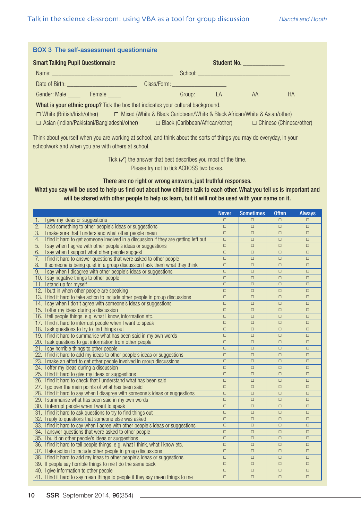| <b>BOX 3</b> The self-assessment questionnaire                                                                                                                                                                                                                                  |        |    |                                                                                                                                                                                                                                |           |  |  |  |  |  |
|---------------------------------------------------------------------------------------------------------------------------------------------------------------------------------------------------------------------------------------------------------------------------------|--------|----|--------------------------------------------------------------------------------------------------------------------------------------------------------------------------------------------------------------------------------|-----------|--|--|--|--|--|
| <b>Smart Talking Pupil Questionnaire</b>                                                                                                                                                                                                                                        |        |    | Student No.                                                                                                                                                                                                                    |           |  |  |  |  |  |
| Name: Name:                                                                                                                                                                                                                                                                     |        |    | School: Experience of the state of the state of the state of the state of the state of the state of the state of the state of the state of the state of the state of the state of the state of the state of the state of the s |           |  |  |  |  |  |
| Date of Birth: <b>Campbell</b> Date of Birth:<br>Class/Form: Electric Class Control Class Control Class Control Control Control Control Control Control Control Control Control Control Control Control Control Control Control Control Control Control Control Control Control |        |    |                                                                                                                                                                                                                                |           |  |  |  |  |  |
| Gender: Male Female                                                                                                                                                                                                                                                             | Group: | LA | AA                                                                                                                                                                                                                             | <b>HA</b> |  |  |  |  |  |
| What is your ethnic group? Tick the box that indicates your cultural background.                                                                                                                                                                                                |        |    |                                                                                                                                                                                                                                |           |  |  |  |  |  |
| O White (British/Irish/other) D Mixed (White & Black Caribbean/White & Black African/White & Asian/other)                                                                                                                                                                       |        |    |                                                                                                                                                                                                                                |           |  |  |  |  |  |
| $\Box$ Asian (Indian/Pakistani/Bangladeshi/other)                                                                                                                                                                                                                               |        |    | $\Box$ Black (Caribbean/African/other) $\Box$ Chinese (Chinese/other)                                                                                                                                                          |           |  |  |  |  |  |

Think about yourself when you are working at school, and think about the sorts of things you may do everyday, in your schoolwork and when you are with others at school.

> Tick  $(\checkmark)$  the answer that best describes you most of the time. Please try not to tick ACROSS two boxes.

#### There are no right or wrong answers, just truthful responses.

## What you say will be used to help us find out about how children talk to each other. What you tell us is important and will be shared with other people to help us learn, but it will not be used with your name on it.

|                                                                                           | <b>Never</b> | <b>Sometimes</b> | <b>Often</b> | <b>Always</b> |
|-------------------------------------------------------------------------------------------|--------------|------------------|--------------|---------------|
| I give my ideas or suggestions<br>1.                                                      | $\Box$       | $\Box$           | $\Box$       | $\Box$        |
| 2.<br>I add something to other people's ideas or suggestions                              | $\Box$       | $\Box$           | $\Box$       | $\Box$        |
| I make sure that I understand what other people mean<br>3.                                |              | $\Box$           | $\Box$       | $\Box$        |
| I find it hard to get someone involved in a discussion if they are getting left out<br>4. |              | $\Box$           | $\Box$       | $\Box$        |
| I say when I agree with other people's ideas or suggestions<br>5.                         | $\Box$       | $\Box$           | $\Box$       | $\Box$        |
| I say when I support what other people suggest<br>6.                                      | $\Box$       | $\Box$           | $\Box$       | $\Box$        |
| I find it hard to answer questions that were asked to other people<br>7.                  | $\Box$       | $\Box$           | $\Box$       | $\Box$        |
| 8.<br>If someone is being quiet in a group discussion I ask them what they think          |              | $\Box$           | $\Box$       | $\Box$        |
| 9.<br>I say when I disagree with other people's ideas or suggestions                      |              | $\Box$           | $\Box$       | $\Box$        |
| 10. I say negative things to other people                                                 | $\Box$       | $\Box$           | $\Box$       | $\Box$        |
| 11. I stand up for myself                                                                 |              | $\Box$           | $\Box$       | $\Box$        |
| 12. I butt in when other people are speaking                                              | $\Box$       | $\Box$           | $\Box$       | $\Box$        |
| 13. I find it hard to take action to include other people in group discussions            | $\Box$       | $\Box$           | $\Box$       | $\Box$        |
| 14. I say when I don't agree with someone's ideas or suggestions                          | $\Box$       | $\Box$           | $\Box$       | $\Box$        |
| 15. I offer my ideas during a discussion                                                  | $\Box$       | $\Box$           | $\Box$       | $\Box$        |
| 16. I tell people things, e.g. what I know, information etc.                              | $\Box$       | $\Box$           | $\Box$       | $\Box$        |
| 17. I find it hard to interrupt people when I want to speak                               | $\Box$       | $\Box$           | $\Box$       | $\Box$        |
| 18. I ask questions to try to find things out                                             | $\Box$       | $\Box$           | $\Box$       | $\Box$        |
| 19. I find it hard to summarise what has been said in my own words                        | $\Box$       | $\Box$           | $\Box$       | $\Box$        |
| 20. I ask questions to get information from other people                                  | $\Box$       | $\Box$           | $\Box$       | $\Box$        |
| 21. I say horrible things to other people                                                 | $\Box$       | $\Box$           | $\Box$       | $\Box$        |
| 22. I find it hard to add my ideas to other people's ideas or suggestions                 | $\Box$       | $\Box$           | $\Box$       | $\Box$        |
| 23. I make an effort to get other people involved in group discussions                    | $\Box$       | $\Box$           | $\Box$       | $\Box$        |
| 24. I offer my ideas during a discussion                                                  | $\Box$       | $\Box$           | $\Box$       | $\Box$        |
| 25. I find it hard to give my ideas or suggestions                                        | $\Box$       | $\Box$           | $\Box$       | $\Box$        |
| 26. I find it hard to check that I understand what has been said                          | $\Box$       | $\Box$           | $\Box$       | $\Box$        |
| 27. I go over the main points of what has been said                                       | $\Box$       | $\Box$           | $\Box$       | $\Box$        |
| 28. I find it hard to say when I disagree with someone's ideas or suggestions             | $\Box$       | $\Box$           | $\Box$       | $\Box$        |
| 29. I summarise what has been said in my own words                                        | $\Box$       | $\Box$           | $\Box$       | $\Box$        |
| 30. I interrupt people when I want to speak                                               | $\Box$       | $\Box$           | $\Box$       | $\Box$        |
| 31. I find it hard to ask questions to try to find things out                             | $\Box$       | $\Box$           | $\Box$       | $\Box$        |
| 32. I reply to questions that someone else was asked                                      | $\Box$       | $\Box$           | $\Box$       | $\Box$        |
| 33. I find it hard to say when I agree with other people's ideas or suggestions           | $\Box$       | $\Box$           | $\Box$       | $\Box$        |
| 34. I answer questions that were asked to other people                                    | $\Box$       | $\Box$           | $\Box$       | $\Box$        |
| 35. I build on other people's ideas or suggestions                                        | $\Box$       | $\Box$           | $\Box$       | $\Box$        |
| 36. I find it hard to tell people things, e.g. what I think, what I know etc.             | $\Box$       | $\Box$           | $\Box$       | $\Box$        |
| 37. I take action to include other people in group discussions                            |              | $\Box$           | $\Box$       | $\Box$        |
| 38. I find it hard to add my ideas to other people's ideas or suggestions                 |              | $\Box$           | $\Box$       | $\Box$        |
| 39. If people say horrible things to me I do the same back                                | $\Box$       | $\Box$           | $\Box$       | $\Box$        |
| 40. I give information to other people                                                    | $\Box$       | $\Box$           | $\Box$       | $\Box$        |
| 41. I find it hard to say mean things to people if they say mean things to me             | $\Box$       | $\Box$           | $\Box$       | $\Box$        |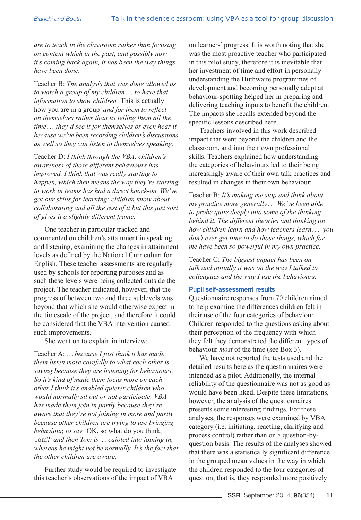*are to teach in the classroom rather than focusing on content which in the past, and possibly now it's coming back again, it has been the way things have been done.*

Teacher B: *The analysis that was done allowed us to watch a group of my children... to have that information to show children '*This is actually how you are in a group*' and for them to reflect on themselves rather than us telling them all the time ... they'd see it for themselves or even hear it because we've been recording children's discussions as well so they can listen to themselves speaking.*

Teacher D: *I think through the VBA, children's awareness of those different behaviours has improved. I think that was really starting to happen, which then means the way they're starting to work in teams has had a direct knock-on. We've got our skills for learning; children know about collaborating and all the rest of it but this just sort of gives it a slightly different frame.*

One teacher in particular tracked and commented on children's attainment in speaking and listening, examining the changes in attainment levels as defined by the National Curriculum for English. These teacher assessments are regularly used by schools for reporting purposes and as such these levels were being collected outside the project. The teacher indicated, however, that the progress of between two and three sublevels was beyond that which she would otherwise expect in the timescale of the project, and therefore it could be considered that the VBA intervention caused such improvements.

She went on to explain in interview:

Teacher A: *...because I just think it has made them listen more carefully to what each other is saying because they are listening for behaviours. So it's kind of made them focus more on each other I think it's enabled quieter children who would normally sit out or not participate. VBA has made them join in partly because they're aware that they're not joining in more and partly because other children are trying to use bringing behaviour, to say '*OK, so what do you think, Tom?*' and then Tom is... cajoled into joining in, whereas he might not be normally. It's the fact that the other children are aware.*

Further study would be required to investigate this teacher's observations of the impact of VBA

on learners' progress. It is worth noting that she was the most proactive teacher who participated in this pilot study, therefore it is inevitable that her investment of time and effort in personally understanding the Huthwaite programmes of development and becoming personally adept at behaviour-spotting helped her in preparing and delivering teaching inputs to benefit the children. The impacts she recalls extended beyond the specific lessons described here.

Teachers involved in this work described impact that went beyond the children and the classroom, and into their own professional skills. Teachers explained how understanding the categories of behaviours led to their being increasingly aware of their own talk practices and resulted in changes in their own behaviour:

Teacher B: *It's making me stop and think about my practice more generally ... We've been able to probe quite deeply into some of the thinking behind it. The different theories and thinking on how children learn and how teachers learn... you don't ever get time to do those things, which for me have been so powerful in my own practice.*

Teacher C: *The biggest impact has been on talk and initially it was on the way I talked to colleagues and the way I use the behaviours.*

# Pupil self-assessment results

Questionnaire responses from 70 children aimed to help examine the differences children felt in their use of the four categories of behaviour. Children responded to the questions asking about their perception of the frequency with which they felt they demonstrated the different types of behaviour *most* of the time (see Box 3).

We have not reported the tests used and the detailed results here as the questionnaires were intended as a pilot. Additionally, the internal reliability of the questionnaire was not as good as would have been liked. Despite these limitations, however, the analysis of the questionnaires presents some interesting findings. For these analyses, the responses were examined by VBA category (i.e. initiating, reacting, clarifying and process control) rather than on a question-byquestion basis. The results of the analyses showed that there was a statistically significant difference in the grouped mean values in the way in which the children responded to the four categories of question; that is, they responded more positively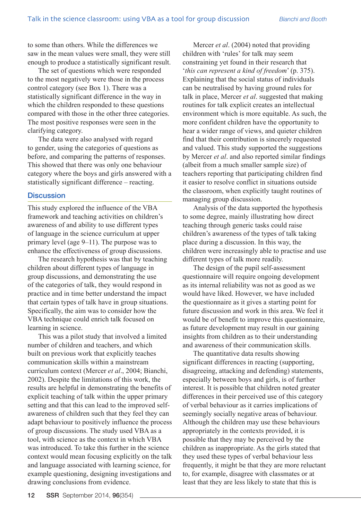to some than others. While the differences we saw in the mean values were small, they were still enough to produce a statistically significant result.

The set of questions which were responded to the most negatively were those in the process control category (see Box 1). There was a statistically significant difference in the way in which the children responded to these questions compared with those in the other three categories. The most positive responses were seen in the clarifying category.

The data were also analysed with regard to gender, using the categories of questions as before, and comparing the patterns of responses. This showed that there was only one behaviour category where the boys and girls answered with a statistically significant difference – reacting.

## **Discussion**

This study explored the influence of the VBA framework and teaching activities on children's awareness of and ability to use different types of language in the science curriculum at upper primary level (age 9–11). The purpose was to enhance the effectiveness of group discussions.

The research hypothesis was that by teaching children about different types of language in group discussions, and demonstrating the use of the categories of talk, they would respond in practice and in time better understand the impact that certain types of talk have in group situations. Specifically, the aim was to consider how the VBA technique could enrich talk focused on learning in science.

This was a pilot study that involved a limited number of children and teachers, and which built on previous work that explicitly teaches communication skills within a mainstream curriculum context (Mercer *et al*., 2004; Bianchi, 2002). Despite the limitations of this work, the results are helpful in demonstrating the benefits of explicit teaching of talk within the upper primary setting and that this can lead to the improved selfawareness of children such that they feel they can adapt behaviour to positively influence the process of group discussions. The study used VBA as a tool, with science as the context in which VBA was introduced. To take this further in the science context would mean focusing explicitly on the talk and language associated with learning science, for example questioning, designing investigations and drawing conclusions from evidence.

Mercer *et al*. (2004) noted that providing children with 'rules' for talk may seem constraining yet found in their research that '*this can represent a kind of freedom*' (p. 375). Explaining that the social status of individuals can be neutralised by having ground rules for talk in place, Mercer *et al*. suggested that making routines for talk explicit creates an intellectual environment which is more equitable. As such, the more confident children have the opportunity to hear a wider range of views, and quieter children find that their contribution is sincerely requested and valued. This study supported the suggestions by Mercer *et al*. and also reported similar findings (albeit from a much smaller sample size) of teachers reporting that participating children find it easier to resolve conflict in situations outside the classroom, when explicitly taught routines of managing group discussion.

Analysis of the data supported the hypothesis to some degree, mainly illustrating how direct teaching through generic tasks could raise children's awareness of the types of talk taking place during a discussion. In this way, the children were increasingly able to practise and use different types of talk more readily.

The design of the pupil self-assessment questionnaire will require ongoing development as its internal reliability was not as good as we would have liked. However, we have included the questionnaire as it gives a starting point for future discussion and work in this area. We feel it would be of benefit to improve this questionnaire, as future development may result in our gaining insights from children as to their understanding and awareness of their communication skills.

The quantitative data results showing significant differences in reacting (supporting, disagreeing, attacking and defending) statements, especially between boys and girls, is of further interest. It is possible that children noted greater differences in their perceived use of this category of verbal behaviour as it carries implications of seemingly socially negative areas of behaviour. Although the children may use these behaviours appropriately in the contexts provided, it is possible that they may be perceived by the children as inappropriate. As the girls stated that they used these types of verbal behaviour less frequently, it might be that they are more reluctant to, for example, disagree with classmates or at least that they are less likely to state that this is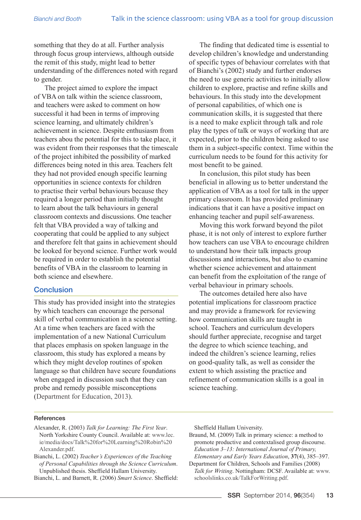something that they do at all. Further analysis through focus group interviews, although outside the remit of this study, might lead to better understanding of the differences noted with regard to gender.

The project aimed to explore the impact of VBA on talk within the science classroom, and teachers were asked to comment on how successful it had been in terms of improving science learning, and ultimately children's achievement in science. Despite enthusiasm from teachers abou the potential for this to take place, it was evident from their responses that the timescale of the project inhibited the possibility of marked differences being noted in this area. Teachers felt they had not provided enough specific learning opportunities in science contexts for children to practise their verbal behaviours because they required a longer period than initially thought to learn about the talk behaviours in general classroom contexts and discussions. One teacher felt that VBA provided a way of talking and cooperating that could be applied to any subject and therefore felt that gains in achievement should be looked for beyond science. Further work would be required in order to establish the potential benefits of VBA in the classroom to learning in both science and elsewhere.

# **Conclusion**

This study has provided insight into the strategies by which teachers can encourage the personal skill of verbal communication in a science setting. At a time when teachers are faced with the implementation of a new National Curriculum that places emphasis on spoken language in the classroom, this study has explored a means by which they might develop routines of spoken language so that children have secure foundations when engaged in discussion such that they can probe and remedy possible misconceptions ([Department for Education, 2013](https://www.gov.uk/government/uploads/system/uploads/attachment_data/file/239132/PRIMARY_national_curriculum_-_Science.pdf)).

The finding that dedicated time is essential to develop children's knowledge and understanding of specific types of behaviour correlates with that of Bianchi's (2002) study and further endorses the need to use generic activities to initially allow children to explore, practise and refine skills and behaviours. In this study into the development of personal capabilities, of which one is communication skills, it is suggested that there is a need to make explicit through talk and role play the types of talk or ways of working that are expected, prior to the children being asked to use them in a subject-specific context. Time within the curriculum needs to be found for this activity for most benefit to be gained.

In conclusion, this pilot study has been beneficial in allowing us to better understand the application of VBA as a tool for talk in the upper primary classroom. It has provided preliminary indications that it can have a positive impact on enhancing teacher and pupil self-awareness.

Moving this work forward beyond the pilot phase, it is not only of interest to explore further how teachers can use VBA to encourage children to understand how their talk impacts group discussions and interactions, but also to examine whether science achievement and attainment can benefit from the exploitation of the range of verbal behaviour in primary schools.

The outcomes detailed here also have potential implications for classroom practice and may provide a framework for reviewing how communication skills are taught in school. Teachers and curriculum developers should further appreciate, recognise and target the degree to which science teaching, and indeed the children's science learning, relies on good-quality talk, as well as consider the extent to which assisting the practice and refinement of communication skills is a goal in science teaching.

#### References

- Alexander, R. (2003) *Talk for Learning: The First Year*. North Yorkshire County Council. Available at: [www.lec.](http://www.lec.ie/media/docs/Talk for Learning Robin Alexander.pdf) [ie/media/docs/Talk%20for%20Learning%20Robin%20](http://www.lec.ie/media/docs/Talk for Learning Robin Alexander.pdf) [Alexander.pdf.](http://www.lec.ie/media/docs/Talk for Learning Robin Alexander.pdf)
- Bianchi, L. (2002) *Teacher's Experiences of the Teaching of Personal Capabilities through the Science Curriculum*. Unpublished thesis. Sheffield Hallam University.

Bianchi, L. and Barnett, R. (2006) *Smart Science*. Sheffield:

Sheffield Hallam University.

Braund, M. (2009) Talk in primary science: a method to promote productive and contextalised group discourse. *Education 3–13: International Journal of Primary, Elementary and Early Years Education*, **37**(4), 385–397.

Department for Children, Schools and Families (2008) *Talk for Writing*. Nottingham: DCSF. Available at: [www.](http://www.schoolslinks.co.uk/TalkForWriting.pdf) [schoolslinks.co.uk/TalkForWriting.pdf](http://www.schoolslinks.co.uk/TalkForWriting.pdf).